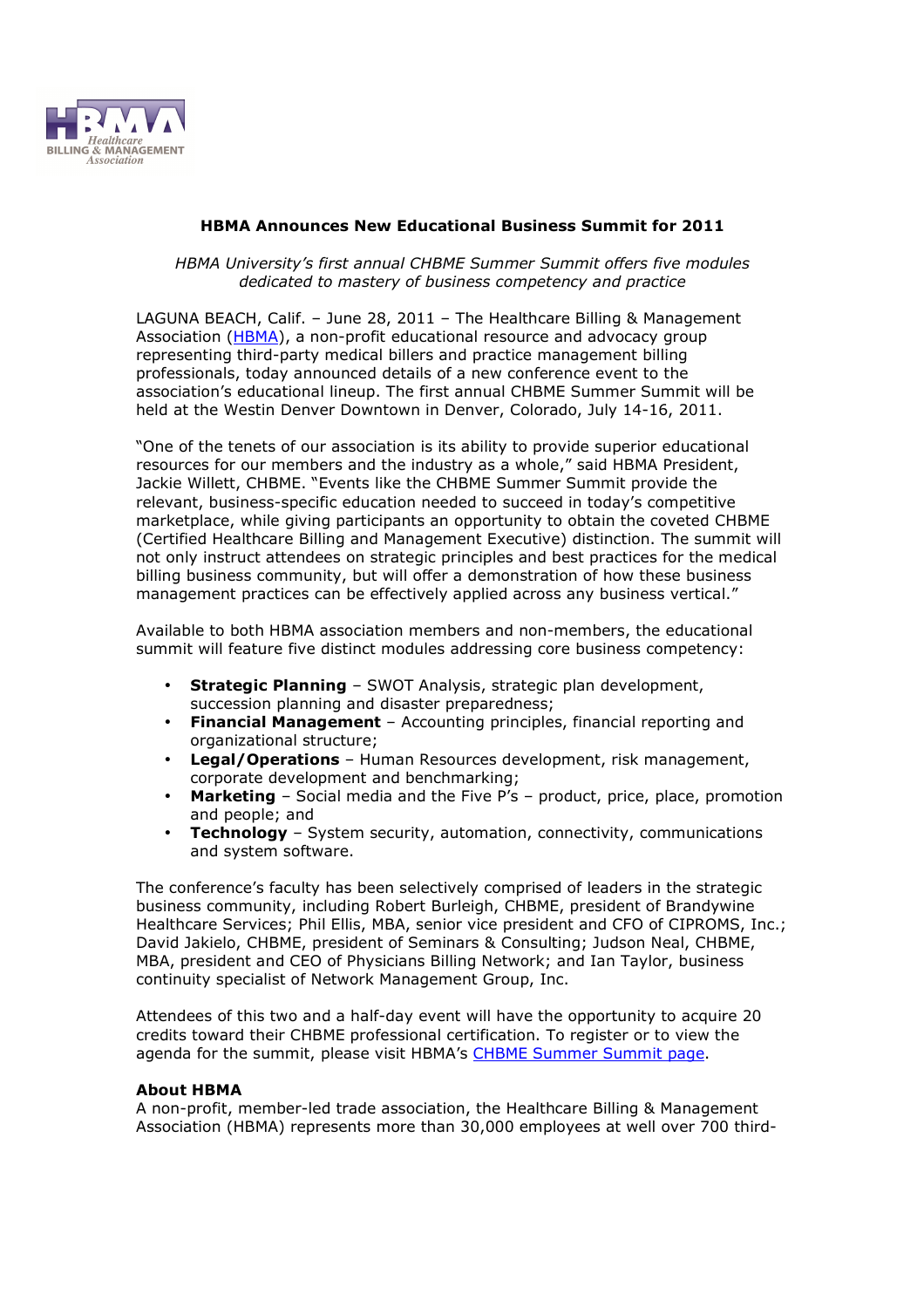

## **HBMA Announces New Educational Business Summit for 2011**

*HBMA University's first annual CHBME Summer Summit offers five modules dedicated to mastery of business competency and practice* 

LAGUNA BEACH, Calif. – June 28, 2011 – The Healthcare Billing & Management Association (HBMA), a non-profit educational resource and advocacy group representing third-party medical billers and practice management billing professionals, today announced details of a new conference event to the association's educational lineup. The first annual CHBME Summer Summit will be held at the Westin Denver Downtown in Denver, Colorado, July 14-16, 2011.

"One of the tenets of our association is its ability to provide superior educational resources for our members and the industry as a whole," said HBMA President, Jackie Willett, CHBME. "Events like the CHBME Summer Summit provide the relevant, business-specific education needed to succeed in today's competitive marketplace, while giving participants an opportunity to obtain the coveted CHBME (Certified Healthcare Billing and Management Executive) distinction. The summit will not only instruct attendees on strategic principles and best practices for the medical billing business community, but will offer a demonstration of how these business management practices can be effectively applied across any business vertical."

Available to both HBMA association members and non-members, the educational summit will feature five distinct modules addressing core business competency:

- **Strategic Planning** SWOT Analysis, strategic plan development, succession planning and disaster preparedness;
- **Financial Management** Accounting principles, financial reporting and organizational structure;
- **Legal/Operations** Human Resources development, risk management, corporate development and benchmarking;
- **Marketing** Social media and the Five P's product, price, place, promotion and people; and
- **Technology** System security, automation, connectivity, communications and system software.

The conference's faculty has been selectively comprised of leaders in the strategic business community, including Robert Burleigh, CHBME, president of Brandywine Healthcare Services; Phil Ellis, MBA, senior vice president and CFO of CIPROMS, Inc.; David Jakielo, CHBME, president of Seminars & Consulting; Judson Neal, CHBME, MBA, president and CEO of Physicians Billing Network; and Ian Taylor, business continuity specialist of Network Management Group, Inc.

Attendees of this two and a half-day event will have the opportunity to acquire 20 credits toward their CHBME professional certification. To register or to view the agenda for the summit, please visit HBMA's CHBME Summer Summit page.

## **About HBMA**

A non-profit, member-led trade association, the Healthcare Billing & Management Association (HBMA) represents more than 30,000 employees at well over 700 third-